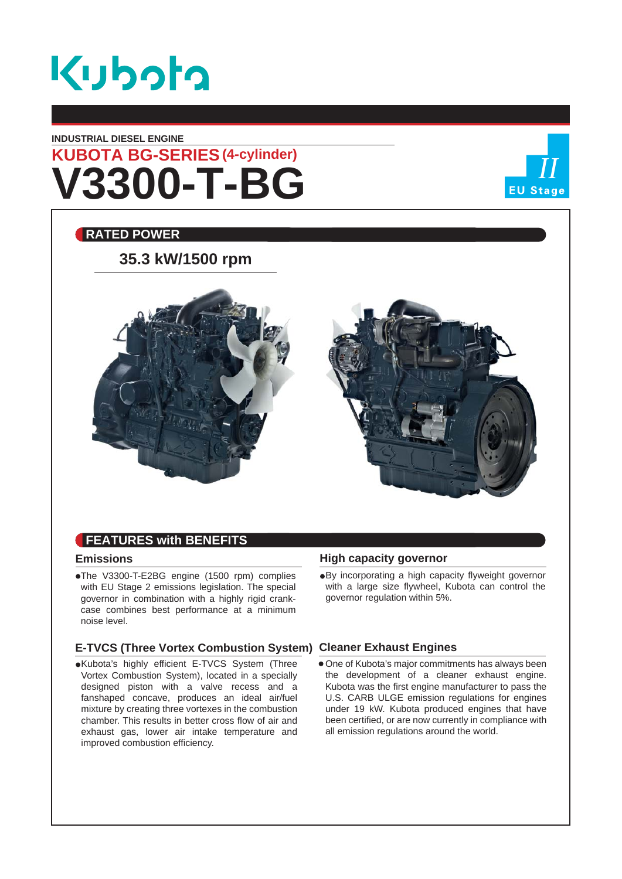

### **INDUSTRIAL DIESEL ENGINE**

# **V3300-T-BG KUBOTA BG-SERIES (4-cylinder)**



### **RATED POWER**

### **35.3 kW/1500 rpm**





### **Emissions**

The V3300-T-E2BG engine (1500 rpm) complies with EU Stage 2 emissions legislation. The special governor in combination with a highly rigid crankcase combines best performance at a minimum noise level.

### **E-TVCS (Three Vortex Combustion System) Cleaner Exhaust Engines**

Kubota's highly efficient E-TVCS System (Three Vortex Combustion System), located in a specially designed piston with a valve recess and a fanshaped concave, produces an ideal air/fuel mixture by creating three vortexes in the combustion chamber. This results in better cross flow of air and exhaust gas, lower air intake temperature and improved combustion efficiency.

### **High capacity governor**

By incorporating a high capacity flyweight governor with a large size flywheel, Kubota can control the governor regulation within 5%.

One of Kubota's major commitments has always been the development of a cleaner exhaust engine. Kubota was the first engine manufacturer to pass the U.S. CARB ULGE emission regulations for engines under 19 kW. Kubota produced engines that have been certified, or are now currently in compliance with all emission regulations around the world.